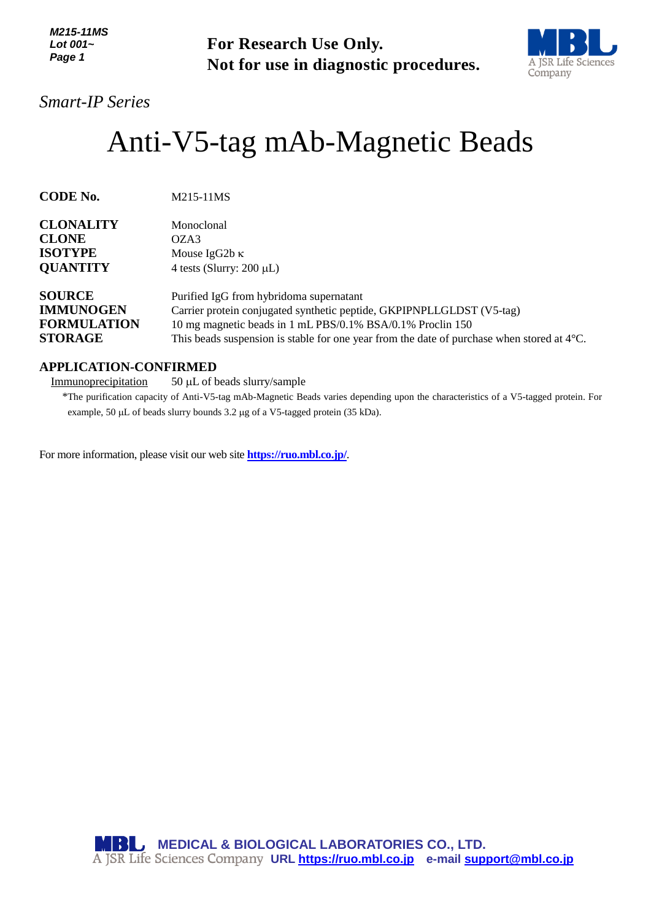*M215-11MS Lot 001~ Page 1*



# Anti-V5-tag mAb-Magnetic Beads

| Lot 001~<br>Page 1                                                        | <b>For Research Use Only.</b><br>Not for use in diagnostic procedures.                                                                                                                                                                                                                 | A JSR Life Sci<br>Company |
|---------------------------------------------------------------------------|----------------------------------------------------------------------------------------------------------------------------------------------------------------------------------------------------------------------------------------------------------------------------------------|---------------------------|
| <b>Smart-IP Series</b>                                                    |                                                                                                                                                                                                                                                                                        |                           |
|                                                                           | Anti-V5-tag mAb-Magnetic Beads                                                                                                                                                                                                                                                         |                           |
| <b>CODE No.</b>                                                           | M215-11MS                                                                                                                                                                                                                                                                              |                           |
| <b>CLONALITY</b><br><b>CLONE</b><br><b>ISOTYPE</b><br><b>QUANTITY</b>     | Monoclonal<br>OZA3<br>Mouse IgG2b $\kappa$<br>4 tests (Slurry: $200 \mu L$ )                                                                                                                                                                                                           |                           |
| <b>SOURCE</b><br><b>IMMUNOGEN</b><br><b>FORMULATION</b><br><b>STORAGE</b> | Purified IgG from hybridoma supernatant<br>Carrier protein conjugated synthetic peptide, GKPIPNPLLGLDST (V5-tag)<br>10 mg magnetic beads in 1 mL PBS/0.1% BSA/0.1% Proclin 150<br>This beads suspension is stable for one year from the date of purchase when stored at $4^{\circ}$ C. |                           |
| <b>APPLICATION-CONFIRMED</b><br>Immunoprecipitation                       | 50 µL of beads slurry/sample<br>*The purification capacity of Anti-V5-tag mAb-Magnetic Beads varies depending upon the characteristics of a V5-tagged protein.<br>example, 50 µL of beads slurry bounds 3.2 µg of a V5-tagged protein (35 kDa).                                        |                           |
|                                                                           | For more information, please visit our web site <b>https://ruo.mbl.co.jp/</b> .                                                                                                                                                                                                        |                           |
|                                                                           | <b>MBL</b> MEDICAL & BIOLOGICAL LABORATORIES CO., LTD.<br>A JSR Life Sciences Company URL https://ruo.mbl.co.jp e-mail support@mbl.co.jp                                                                                                                                               |                           |

## **APPLICATION-CONFIRMED**